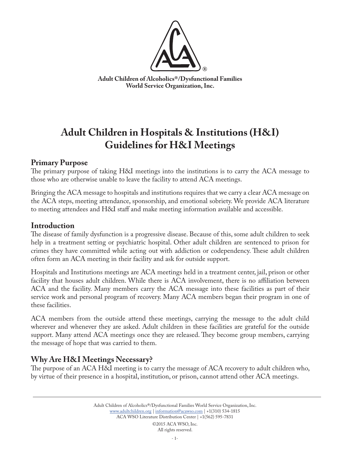

**Adult Children of Alcoholics®/Dysfunctional Families World Service Organization, Inc.**

# **Adult Children in Hospitals & Institutions (H&I) Guidelines for H&I Meetings**

# **Primary Purpose**

The primary purpose of taking H&I meetings into the institutions is to carry the ACA message to those who are otherwise unable to leave the facility to attend ACA meetings.

Bringing the ACA message to hospitals and institutions requires that we carry a clear ACA message on the ACA steps, meeting attendance, sponsorship, and emotional sobriety. We provide ACA literature to meeting attendees and H&I staff and make meeting information available and accessible.

### **Introduction**

The disease of family dysfunction is a progressive disease. Because of this, some adult children to seek help in a treatment setting or psychiatric hospital. Other adult children are sentenced to prison for crimes they have committed while acting out with addiction or codependency. These adult children often form an ACA meeting in their facility and ask for outside support.

Hospitals and Institutions meetings are ACA meetings held in a treatment center, jail, prison or other facility that houses adult children. While there is ACA involvement, there is no affiliation between ACA and the facility. Many members carry the ACA message into these facilities as part of their service work and personal program of recovery. Many ACA members began their program in one of these facilities.

ACA members from the outside attend these meetings, carrying the message to the adult child wherever and whenever they are asked. Adult children in these facilities are grateful for the outside support. Many attend ACA meetings once they are released. They become group members, carrying the message of hope that was carried to them.

# **Why Are H&I Meetings Necessary?**

The purpose of an ACA H&I meeting is to carry the message of ACA recovery to adult children who, by virtue of their presence in a hospital, institution, or prison, cannot attend other ACA meetings.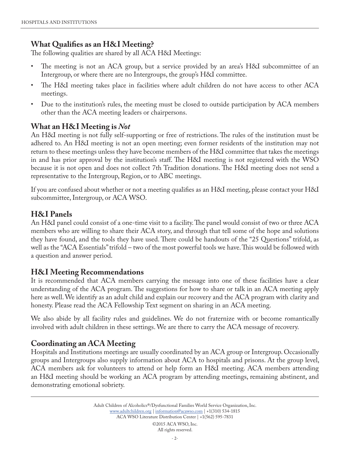# **What Qualifies as an H&I Meeting?**

The following qualities are shared by all ACA H&I Meetings:

- The meeting is not an ACA group, but a service provided by an area's H&I subcommittee of an Intergroup, or where there are no Intergroups, the group's H&I committee.
- The H&I meeting takes place in facilities where adult children do not have access to other ACA meetings.
- Due to the institution's rules, the meeting must be closed to outside participation by ACA members other than the ACA meeting leaders or chairpersons.

### **What an H&I Meeting is** *Not*

An H&I meeting is not fully self-supporting or free of restrictions. The rules of the institution must be adhered to. An H&I meeting is not an open meeting; even former residents of the institution may not return to these meetings unless they have become members of the H&I committee that takes the meetings in and has prior approval by the institution's staff. The H&I meeting is not registered with the WSO because it is not open and does not collect 7th Tradition donations. The H&I meeting does not send a representative to the Intergroup, Region, or to ABC meetings.

If you are confused about whether or not a meeting qualifies as an H&I meeting, please contact your H&I subcommittee, Intergroup, or ACA WSO.

### **H&I Panels**

An H&I panel could consist of a one-time visit to a facility. The panel would consist of two or three ACA members who are willing to share their ACA story, and through that tell some of the hope and solutions they have found, and the tools they have used. There could be handouts of the "25 Questions" trifold, as well as the "ACA Essentials" trifold – two of the most powerful tools we have. This would be followed with a question and answer period.

### **H&I Meeting Recommendations**

It is recommended that ACA members carrying the message into one of these facilities have a clear understanding of the ACA program. The suggestions for how to share or talk in an ACA meeting apply here as well. We identify as an adult child and explain our recovery and the ACA program with clarity and honesty. Please read the ACA Fellowship Text segment on sharing in an ACA meeting.

We also abide by all facility rules and guidelines. We do not fraternize with or become romantically involved with adult children in these settings. We are there to carry the ACA message of recovery.

# **Coordinating an ACA Meeting**

Hospitals and Institutions meetings are usually coordinated by an ACA group or Intergroup. Occasionally groups and Intergroups also supply information about ACA to hospitals and prisons. At the group level, ACA members ask for volunteers to attend or help form an H&I meeting. ACA members attending an H&I meeting should be working an ACA program by attending meetings, remaining abstinent, and demonstrating emotional sobriety.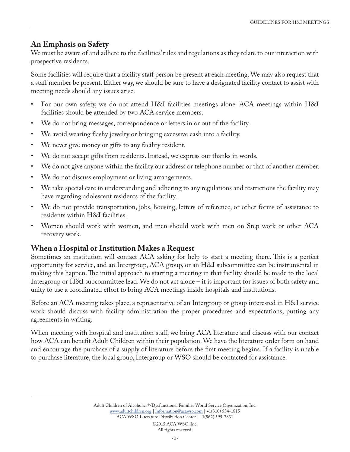### **An Emphasis on Safety**

We must be aware of and adhere to the facilities' rules and regulations as they relate to our interaction with prospective residents.

Some facilities will require that a facility staff person be present at each meeting. We may also request that a staff member be present. Either way, we should be sure to have a designated facility contact to assist with meeting needs should any issues arise.

- For our own safety, we do not attend H&I facilities meetings alone. ACA meetings within H&I facilities should be attended by two ACA service members.
- We do not bring messages, correspondence or letters in or out of the facility.
- We avoid wearing flashy jewelry or bringing excessive cash into a facility.
- We never give money or gifts to any facility resident.
- We do not accept gifts from residents. Instead, we express our thanks in words.
- We do not give anyone within the facility our address or telephone number or that of another member.
- We do not discuss employment or living arrangements.
- We take special care in understanding and adhering to any regulations and restrictions the facility may have regarding adolescent residents of the facility.
- We do not provide transportation, jobs, housing, letters of reference, or other forms of assistance to residents within H&I facilities.
- Women should work with women, and men should work with men on Step work or other ACA recovery work.

### **When a Hospital or Institution Makes a Request**

Sometimes an institution will contact ACA asking for help to start a meeting there. This is a perfect opportunity for service, and an Intergroup, ACA group, or an H&I subcommittee can be instrumental in making this happen. The initial approach to starting a meeting in that facility should be made to the local Intergroup or H&I subcommittee lead. We do not act alone – it is important for issues of both safety and unity to use a coordinated effort to bring ACA meetings inside hospitals and institutions.

Before an ACA meeting takes place, a representative of an Intergroup or group interested in H&I service work should discuss with facility administration the proper procedures and expectations, putting any agreements in writing.

When meeting with hospital and institution staff, we bring ACA literature and discuss with our contact how ACA can benefit Adult Children within their population. We have the literature order form on hand and encourage the purchase of a supply of literature before the first meeting begins. If a facility is unable to purchase literature, the local group, Intergroup or WSO should be contacted for assistance.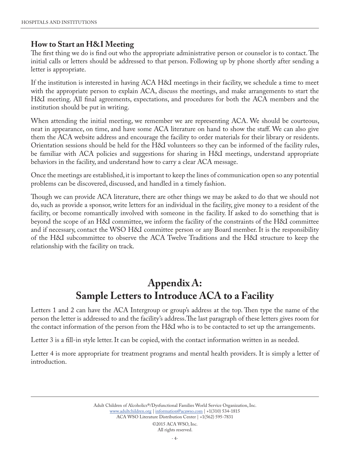### **How to Start an H&I Meeting**

The first thing we do is find out who the appropriate administrative person or counselor is to contact. The initial calls or letters should be addressed to that person. Following up by phone shortly after sending a letter is appropriate.

If the institution is interested in having ACA H&I meetings in their facility, we schedule a time to meet with the appropriate person to explain ACA, discuss the meetings, and make arrangements to start the H&I meeting. All final agreements, expectations, and procedures for both the ACA members and the institution should be put in writing.

When attending the initial meeting, we remember we are representing ACA. We should be courteous, neat in appearance, on time, and have some ACA literature on hand to show the staff. We can also give them the ACA website address and encourage the facility to order materials for their library or residents. Orientation sessions should be held for the H&I volunteers so they can be informed of the facility rules, be familiar with ACA policies and suggestions for sharing in H&I meetings, understand appropriate behaviors in the facility, and understand how to carry a clear ACA message.

Once the meetings are established, it is important to keep the lines of communication open so any potential problems can be discovered, discussed, and handled in a timely fashion.

Though we can provide ACA literature, there are other things we may be asked to do that we should not do, such as provide a sponsor, write letters for an individual in the facility, give money to a resident of the facility, or become romantically involved with someone in the facility. If asked to do something that is beyond the scope of an H&I committee, we inform the facility of the constraints of the H&I committee and if necessary, contact the WSO H&I committee person or any Board member. It is the responsibility of the H&I subcommittee to observe the ACA Twelve Traditions and the H&I structure to keep the relationship with the facility on track.

# **Appendix A: Sample Letters to Introduce ACA to a Facility**

Letters 1 and 2 can have the ACA Intergroup or group's address at the top. Then type the name of the person the letter is addressed to and the facility's address.The last paragraph of these letters gives room for the contact information of the person from the H&I who is to be contacted to set up the arrangements.

Letter 3 is a fill-in style letter. It can be copied, with the contact information written in as needed.

Letter 4 is more appropriate for treatment programs and mental health providers. It is simply a letter of introduction.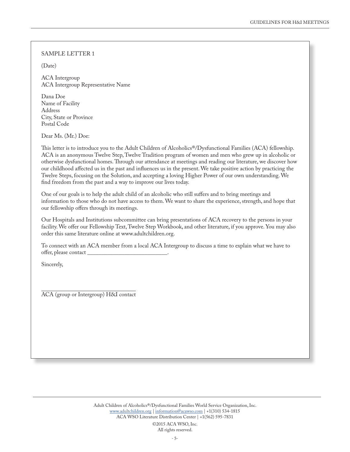(Date)

ACA Intergroup ACA Intergroup Representative Name

Dana Doe Name of Facility Address City, State or Province Postal Code

Dear Ms. (Mr.) Doe:

This letter is to introduce you to the Adult Children of Alcoholics®/Dysfunctional Families (ACA) fellowship. ACA is an anonymous Twelve Step, Twelve Tradition program of women and men who grew up in alcoholic or otherwise dysfunctional homes. Through our attendance at meetings and reading our literature, we discover how our childhood affected us in the past and influences us in the present. We take positive action by practicing the Twelve Steps, focusing on the Solution, and accepting a loving Higher Power of our own understanding. We find freedom from the past and a way to improve our lives today.

One of our goals is to help the adult child of an alcoholic who still suffers and to bring meetings and information to those who do not have access to them. We want to share the experience, strength, and hope that our fellowship offers through its meetings.

Our Hospitals and Institutions subcommittee can bring presentations of ACA recovery to the persons in your facility. We offer our Fellowship Text, Twelve Step Workbook, and other literature, if you approve. You may also order this same literature online at www.adultchildren.org.

To connect with an ACA member from a local ACA Intergroup to discuss a time to explain what we have to offer, please contact \_\_\_\_\_\_\_\_\_\_\_\_\_\_\_\_\_\_\_\_\_\_\_\_\_\_\_\_.

Sincerely,

ACA (group or Intergroup) H&I contact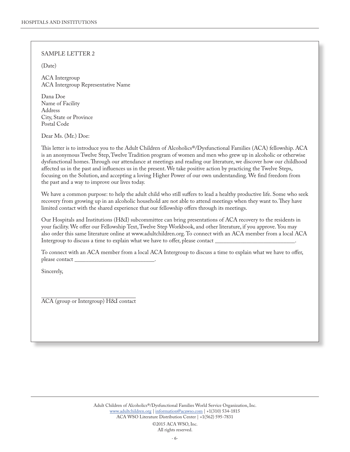(Date)

ACA Intergroup ACA Intergroup Representative Name

Dana Doe Name of Facility Address City, State or Province Postal Code

Dear Ms. (Mr.) Doe:

This letter is to introduce you to the Adult Children of Alcoholics®/Dysfunctional Families (ACA) fellowship. ACA is an anonymous Twelve Step, Twelve Tradition program of women and men who grew up in alcoholic or otherwise dysfunctional homes. Through our attendance at meetings and reading our literature, we discover how our childhood affected us in the past and influences us in the present. We take positive action by practicing the Twelve Steps, focusing on the Solution, and accepting a loving Higher Power of our own understanding. We find freedom from the past and a way to improve our lives today.

We have a common purpose: to help the adult child who still suffers to lead a healthy productive life. Some who seek recovery from growing up in an alcoholic household are not able to attend meetings when they want to. They have limited contact with the shared experience that our fellowship offers through its meetings.

Our Hospitals and Institutions (H&I) subcommittee can bring presentations of ACA recovery to the residents in your facility. We offer our Fellowship Text, Twelve Step Workbook, and other literature, if you approve. You may also order this same literature online at www.adultchildren.org. To connect with an ACA member from a local ACA Intergroup to discuss a time to explain what we have to offer, please contact \_

To connect with an ACA member from a local ACA Intergroup to discuss a time to explain what we have to offer, please contact \_\_\_\_\_\_\_\_\_\_\_\_\_\_\_\_\_\_\_\_\_\_\_\_\_\_\_\_.

Sincerely,

ACA (group or Intergroup) H&I contact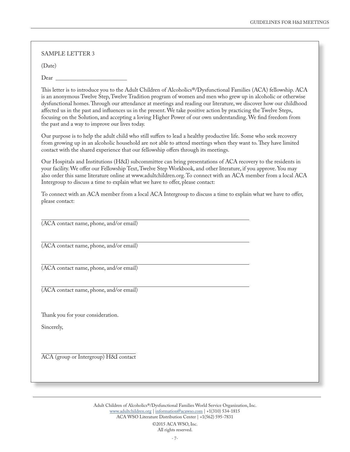(Date)

Dear

This letter is to introduce you to the Adult Children of Alcoholics®/Dysfunctional Families (ACA) fellowship. ACA is an anonymous Twelve Step, Twelve Tradition program of women and men who grew up in alcoholic or otherwise dysfunctional homes. Through our attendance at meetings and reading our literature, we discover how our childhood affected us in the past and influences us in the present. We take positive action by practicing the Twelve Steps, focusing on the Solution, and accepting a loving Higher Power of our own understanding. We find freedom from the past and a way to improve our lives today.

Our purpose is to help the adult child who still suffers to lead a healthy productive life. Some who seek recovery from growing up in an alcoholic household are not able to attend meetings when they want to. They have limited contact with the shared experience that our fellowship offers through its meetings.

Our Hospitals and Institutions (H&I) subcommittee can bring presentations of ACA recovery to the residents in your facility. We offer our Fellowship Text, Twelve Step Workbook, and other literature, if you approve. You may also order this same literature online at www.adultchildren.org. To connect with an ACA member from a local ACA Intergroup to discuss a time to explain what we have to offer, please contact:

To connect with an ACA member from a local ACA Intergroup to discuss a time to explain what we have to offer, please contact:

(ACA contact name, phone, and/or email)

(ACA contact name, phone, and/or email)

(ACA contact name, phone, and/or email)

(ACA contact name, phone, and/or email)

Thank you for your consideration.

Sincerely,

ACA (group or Intergroup) H&I contact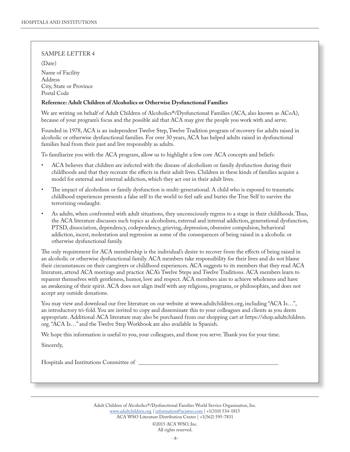(Date)

Name of Facility Address City, State or Province Postal Code

#### **Reference: Adult Children of Alcoholics or Otherwise Dysfunctional Families**

We are writing on behalf of Adult Children of Alcoholics®/Dysfunctional Families (ACA, also known as ACoA), because of your program's focus and the possible aid that ACA may give the people you work with and serve.

Founded in 1978, ACA is an independent Twelve Step, Twelve Tradition program of recovery for adults raised in alcoholic or otherwise dysfunctional families. For over 30 years, ACA has helped adults raised in dysfunctional families heal from their past and live responsibly as adults.

To familiarize you with the ACA program, allow us to highlight a few core ACA concepts and beliefs:

- ACA believes that children are infected with the disease of alcoholism or family dysfunction during their childhoods and that they recreate the effects in their adult lives. Children in these kinds of families acquire a model for external and internal addiction, which they act out in their adult lives.
- The impact of alcoholism or family dysfunction is multi-generational. A child who is exposed to traumatic childhood experiences presents a false self to the world to feel safe and buries the True Self to survive the terrorizing onslaught.
- As adults, when confronted with adult situations, they unconsciously regress to a stage in their childhoods. Thus, the ACA literature discusses such topics as alcoholism, external and internal addiction, generational dysfunction, PTSD, dissociation, dependency, codependency, grieving, depression, obsessive compulsion, behavioral addiction, incest, molestation and regression as some of the consequences of being raised in a alcoholic or otherwise dysfunctional family.

The only requirement for ACA membership is the individual's desire to recover from the effects of being raised in an alcoholic or otherwise dysfunctional family. ACA members take responsibility for their lives and do not blame their circumstances on their caregivers or childhood experiences. ACA suggests to its members that they read ACA literature, attend ACA meetings and practice ACA's Twelve Steps and Twelve Traditions. ACA members learn to reparent themselves with gentleness, humor, love and respect. ACA members aim to achieve wholeness and have an awakening of their spirit. ACA does not align itself with any religions, programs, or philosophies, and does not accept any outside donations.

You may view and download our free literature on our website at www.adultchildren.org, including "ACA Is…", an introductory tri-fold. You are invited to copy and disseminate this to your colleagues and clients as you deem appropriate. Additional ACA literature may also be purchased from our shopping cart at https://shop.adultchildren. org. "ACA Is…" and the Twelve Step Workbook are also available in Spanish.

We hope this information is useful to you, your colleagues, and those you serve. Thank you for your time.

Sincerely,

Hospitals and Institutions Committee of \_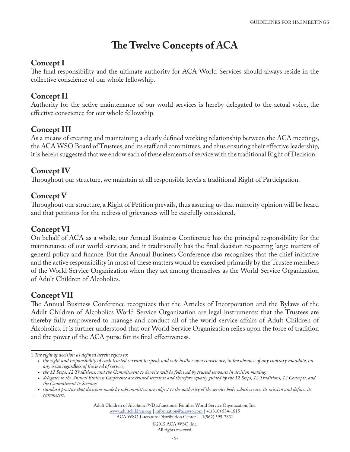# **The Twelve Concepts of ACA**

# **Concept I**

The final responsibility and the ultimate authority for ACA World Services should always reside in the collective conscience of our whole fellowship.

# **Concept II**

Authority for the active maintenance of our world services is hereby delegated to the actual voice, the effective conscience for our whole fellowship.

# **Concept III**

As a means of creating and maintaining a clearly defined working relationship between the ACA meetings, the ACA WSO Board of Trustees, and its staff and committees, and thus ensuring their effective leadership, it is herein suggested that we endow each of these elements of service with the traditional Right of Decision.<sup>1</sup>

# **Concept IV**

Throughout our structure, we maintain at all responsible levels a traditional Right of Participation.

# **Concept V**

Throughout our structure, a Right of Petition prevails, thus assuring us that minority opinion will be heard and that petitions for the redress of grievances will be carefully considered.

### **Concept VI**

On behalf of ACA as a whole, our Annual Business Conference has the principal responsibility for the maintenance of our world services, and it traditionally has the final decision respecting large matters of general policy and finance. But the Annual Business Conference also recognizes that the chief initiative and the active responsibility in most of these matters would be exercised primarily by the Trustee members of the World Service Organization when they act among themselves as the World Service Organization of Adult Children of Alcoholics.

# **Concept VII**

The Annual Business Conference recognizes that the Articles of Incorporation and the Bylaws of the Adult Children of Alcoholics World Service Organization are legal instruments: that the Trustees are thereby fully empowered to manage and conduct all of the world service affairs of Adult Children of Alcoholics. It is further understood that our World Service Organization relies upon the force of tradition and the power of the ACA purse for its final effectiveness.

1 *The right of decision as defined herein refers to:* 

Adult Children of Alcoholics®/Dysfunctional Families World Service Organization, Inc. [www.adultchildren.org](https://adultchildren.org) | informatio[n@a](mailto:information%40acawso.com?subject=)cawso.com | +1(310) 534-1815

ACA WSO Literature Distribution Center | +1(562) 595-7831

<sup>•</sup> the right and responsibility of each trusted servant to speak and vote his/her own conscience, in the absence of any contrary mandate, on *any issue regardless of the level of service;*

*<sup>•</sup> the 12 Steps, 12 Traditions, and the Commitment to Service will be followed by trusted servants in decision making;*

*<sup>•</sup> delegates to the Annual Business Conference are trusted servants and therefore equally guided by the 12 Steps, 12 Traditions, 12 Concepts, and the Commitment to Service;*

<sup>•</sup> *standard practice that decisions made by subcommittees are subject to the authority of the service body which creates its mission and defines its parameters.*